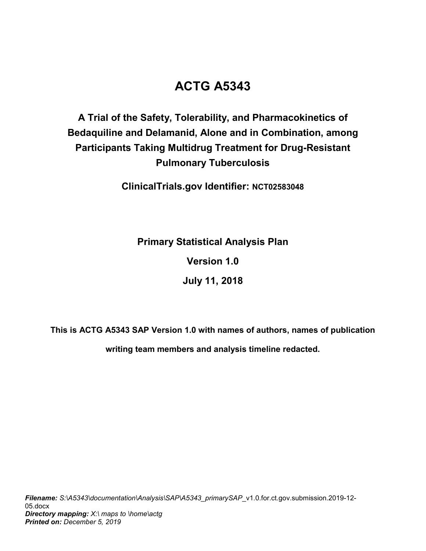# **ACTG A5343**

# **A Trial of the Safety, Tolerability, and Pharmacokinetics of Bedaquiline and Delamanid, Alone and in Combination, among Participants Taking Multidrug Treatment for Drug-Resistant Pulmonary Tuberculosis**

**ClinicalTrials.gov Identifier: NCT02583048**

**Primary Statistical Analysis Plan**

**Version 1.0**

**July 11, 2018**

<span id="page-0-0"></span>**This is ACTG A5343 SAP Version 1.0 with names of authors, names of publication** 

**writing team members and analysis timeline redacted.**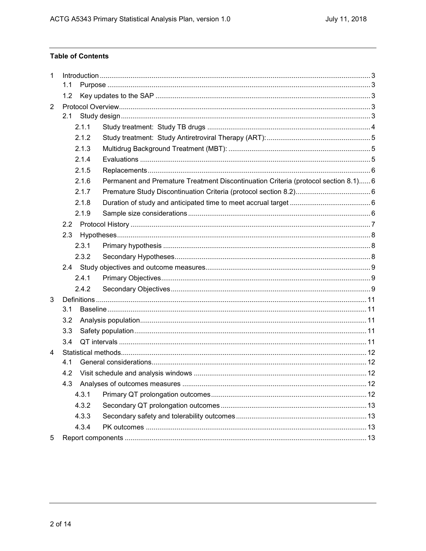# **Table of Contents**

| 1   | 1.1   |                                                                                     |  |  |
|-----|-------|-------------------------------------------------------------------------------------|--|--|
|     | 1.2   |                                                                                     |  |  |
| 2   |       |                                                                                     |  |  |
|     | 2.1   |                                                                                     |  |  |
|     | 2.1.1 |                                                                                     |  |  |
|     | 2.1.2 |                                                                                     |  |  |
|     | 2.1.3 |                                                                                     |  |  |
|     | 2.1.4 |                                                                                     |  |  |
|     | 2.1.5 |                                                                                     |  |  |
|     | 2.1.6 | Permanent and Premature Treatment Discontinuation Criteria (protocol section 8.1) 6 |  |  |
|     | 2.1.7 |                                                                                     |  |  |
|     | 2.1.8 |                                                                                     |  |  |
|     | 2.1.9 |                                                                                     |  |  |
| 2.2 |       |                                                                                     |  |  |
|     | 2.3   |                                                                                     |  |  |
|     | 2.3.1 |                                                                                     |  |  |
|     | 2.3.2 |                                                                                     |  |  |
|     |       |                                                                                     |  |  |
|     | 2.4.1 |                                                                                     |  |  |
|     | 2.4.2 |                                                                                     |  |  |
| 3   |       |                                                                                     |  |  |
|     | 3.1   |                                                                                     |  |  |
|     | 3.2   |                                                                                     |  |  |
|     | 3.3   |                                                                                     |  |  |
|     | 3.4   |                                                                                     |  |  |
| 4   |       |                                                                                     |  |  |
|     | 4.1   |                                                                                     |  |  |
|     | 4.2   |                                                                                     |  |  |
|     |       |                                                                                     |  |  |
|     | 4.3.1 |                                                                                     |  |  |
|     | 4.3.2 |                                                                                     |  |  |
|     | 4.3.3 |                                                                                     |  |  |
|     | 4.3.4 |                                                                                     |  |  |
| 5   |       |                                                                                     |  |  |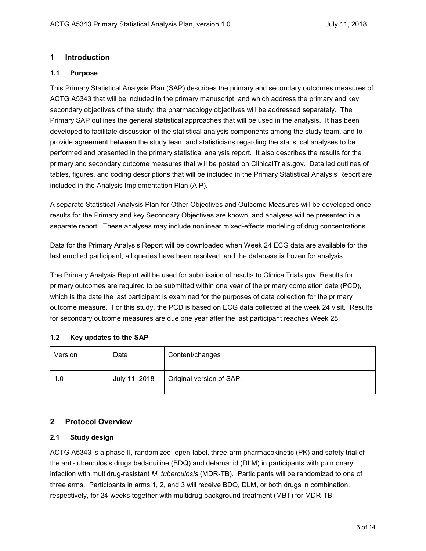## <span id="page-2-0"></span>**1 Introduction**

## <span id="page-2-1"></span>**1.1 Purpose**

This Primary Statistical Analysis Plan (SAP) describes the primary and secondary outcomes measures of ACTG A5343 that will be included in the primary manuscript, and which address the primary and key secondary objectives of the study; the pharmacology objectives will be addressed separately. The Primary SAP outlines the general statistical approaches that will be used in the analysis. It has been developed to facilitate discussion of the statistical analysis components among the study team, and to provide agreement between the study team and statisticians regarding the statistical analyses to be performed and presented in the primary statistical analysis report. It also describes the results for the primary and secondary outcome measures that will be posted on ClinicalTrials.gov. Detailed outlines of tables, figures, and coding descriptions that will be included in the Primary Statistical Analysis Report are included in the Analysis Implementation Plan (AIP).

A separate Statistical Analysis Plan for Other Objectives and Outcome Measures will be developed once results for the Primary and key Secondary Objectives are known, and analyses will be presented in a separate report. These analyses may include nonlinear mixed-effects modeling of drug concentrations.

Data for the Primary Analysis Report will be downloaded when Week 24 ECG data are available for the last enrolled participant, all queries have been resolved, and the database is frozen for analysis.

The Primary Analysis Report will be used for submission of results to ClinicalTrials.gov. Results for primary outcomes are required to be submitted within one year of the primary completion date (PCD), which is the date the last participant is examined for the purposes of data collection for the primary outcome measure. For this study, the PCD is based on ECG data collected at the week 24 visit. Results for secondary outcome measures are due one year after the last participant reaches Week 28.

### <span id="page-2-2"></span>**1.2 Key updates to the SAP**

| Version | Date          | Content/changes          |
|---------|---------------|--------------------------|
| 1.0     | July 11, 2018 | Original version of SAP. |

# <span id="page-2-3"></span>**2 Protocol Overview**

# <span id="page-2-4"></span>**2.1 Study design**

ACTG A5343 is a phase II, randomized, open-label, three-arm pharmacokinetic (PK) and safety trial of the anti-tuberculosis drugs bedaquiline (BDQ) and delamanid (DLM) in participants with pulmonary infection with multidrug-resistant *M. tuberculosis* (MDR-TB). Participants will be randomized to one of three arms. Participants in arms 1, 2, and 3 will receive BDQ, DLM, or both drugs in combination, respectively, for 24 weeks together with multidrug background treatment (MBT) for MDR-TB.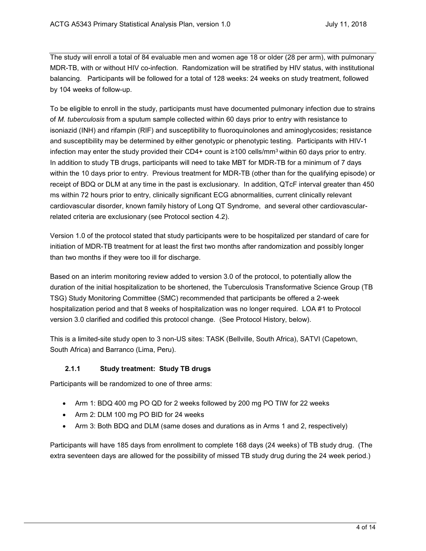The study will enroll a total of 84 evaluable men and women age 18 or older (28 per arm), with pulmonary MDR-TB, with or without HIV co-infection. Randomization will be stratified by HIV status, with institutional balancing. Participants will be followed for a total of 128 weeks: 24 weeks on study treatment, followed by 104 weeks of follow-up.

To be eligible to enroll in the study, participants must have documented pulmonary infection due to strains of *M. tuberculosis* from a sputum sample collected within 60 days prior to entry with resistance to isoniazid (INH) and rifampin (RIF) and susceptibility to fluoroquinolones and aminoglycosides; resistance and susceptibility may be determined by either genotypic or phenotypic testing. Participants with HIV-1 infection may enter the study provided their CD4+ count is ≥100 cells/mm<sup>3</sup> within 60 days prior to entry. In addition to study TB drugs, participants will need to take MBT for MDR-TB for a minimum of 7 days within the 10 days prior to entry. Previous treatment for MDR-TB (other than for the qualifying episode) or receipt of BDQ or DLM at any time in the past is exclusionary. In addition, QTcF interval greater than 450 ms within 72 hours prior to entry, clinically significant ECG abnormalities, current clinically relevant cardiovascular disorder, known family history of Long QT Syndrome, and several other cardiovascularrelated criteria are exclusionary (see Protocol section 4.2).

Version 1.0 of the protocol stated that study participants were to be hospitalized per standard of care for initiation of MDR-TB treatment for at least the first two months after randomization and possibly longer than two months if they were too ill for discharge.

Based on an interim monitoring review added to version 3.0 of the protocol, to potentially allow the duration of the initial hospitalization to be shortened, the Tuberculosis Transformative Science Group (TB TSG) Study Monitoring Committee (SMC) recommended that participants be offered a 2-week hospitalization period and that 8 weeks of hospitalization was no longer required. LOA #1 to Protocol version 3.0 clarified and codified this protocol change. (See Protocol History, below).

This is a limited-site study open to 3 non-US sites: TASK (Bellville, South Africa), SATVI (Capetown, South Africa) and Barranco (Lima, Peru).

### <span id="page-3-0"></span>**2.1.1 Study treatment: Study TB drugs**

Participants will be randomized to one of three arms:

- Arm 1: BDQ 400 mg PO QD for 2 weeks followed by 200 mg PO TIW for 22 weeks
- Arm 2: DLM 100 mg PO BID for 24 weeks
- Arm 3: Both BDQ and DLM (same doses and durations as in Arms 1 and 2, respectively)

Participants will have 185 days from enrollment to complete 168 days (24 weeks) of TB study drug. (The extra seventeen days are allowed for the possibility of missed TB study drug during the 24 week period.)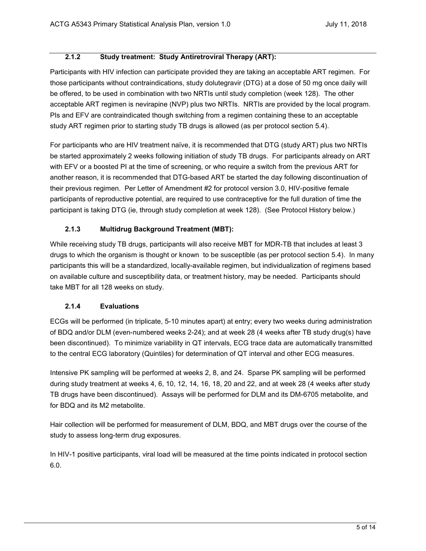## **2.1.2 Study treatment: Study Antiretroviral Therapy (ART):**

<span id="page-4-0"></span>Participants with HIV infection can participate provided they are taking an acceptable ART regimen. For those participants without contraindications, study dolutegravir (DTG) at a dose of 50 mg once daily will be offered, to be used in combination with two NRTIs until study completion (week 128). The other acceptable ART regimen is nevirapine (NVP) plus two NRTIs. NRTIs are provided by the local program. PIs and EFV are contraindicated though switching from a regimen containing these to an acceptable study ART regimen prior to starting study TB drugs is allowed (as per protocol section 5.4).

For participants who are HIV treatment naïve, it is recommended that DTG (study ART) plus two NRTIs be started approximately 2 weeks following initiation of study TB drugs. For participants already on ART with EFV or a boosted PI at the time of screening, or who require a switch from the previous ART for another reason, it is recommended that DTG-based ART be started the day following discontinuation of their previous regimen. Per Letter of Amendment #2 for protocol version 3.0, HIV-positive female participants of reproductive potential, are required to use contraceptive for the full duration of time the participant is taking DTG (ie, through study completion at week 128). (See Protocol History below.)

### **2.1.3 Multidrug Background Treatment (MBT):**

<span id="page-4-1"></span>While receiving study TB drugs, participants will also receive MBT for MDR-TB that includes at least 3 drugs to which the organism is thought or known to be susceptible (as per protocol section 5.4). In many participants this will be a standardized, locally-available regimen, but individualization of regimens based on available culture and susceptibility data, or treatment history, may be needed. Participants should take MBT for all 128 weeks on study.

### **2.1.4 Evaluations**

<span id="page-4-2"></span>ECGs will be performed (in triplicate, 5-10 minutes apart) at entry; every two weeks during administration of BDQ and/or DLM (even-numbered weeks 2-24); and at week 28 (4 weeks after TB study drug(s) have been discontinued). To minimize variability in QT intervals, ECG trace data are automatically transmitted to the central ECG laboratory (Quintiles) for determination of QT interval and other ECG measures.

Intensive PK sampling will be performed at weeks 2, 8, and 24. Sparse PK sampling will be performed during study treatment at weeks 4, 6, 10, 12, 14, 16, 18, 20 and 22, and at week 28 (4 weeks after study TB drugs have been discontinued). Assays will be performed for DLM and its DM-6705 metabolite, and for BDQ and its M2 metabolite.

Hair collection will be performed for measurement of DLM, BDQ, and MBT drugs over the course of the study to assess long-term drug exposures.

In HIV-1 positive participants, viral load will be measured at the time points indicated in protocol section 6.0.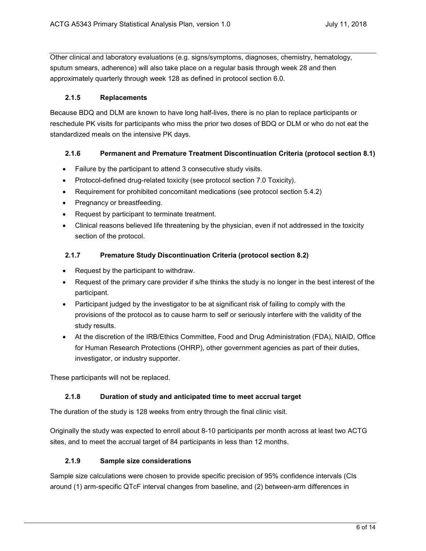Other clinical and laboratory evaluations (e.g. signs/symptoms, diagnoses, chemistry, hematology, sputum smears, adherence) will also take place on a regular basis through week 28 and then approximately quarterly through week 128 as defined in protocol section 6.0.

### **2.1.5 Replacements**

<span id="page-5-0"></span>Because BDQ and DLM are known to have long half-lives, there is no plan to replace participants or reschedule PK visits for participants who miss the prior two doses of BDQ or DLM or who do not eat the standardized meals on the intensive PK days.

### <span id="page-5-1"></span>**2.1.6 Permanent and Premature Treatment Discontinuation Criteria (protocol section 8.1)**

- Failure by the participant to attend 3 consecutive study visits.
- Protocol-defined drug-related toxicity (see protocol section 7.0 Toxicity).
- Requirement for prohibited concomitant medications (see protocol section 5.4.2)
- Pregnancy or breastfeeding.
- Request by participant to terminate treatment.
- Clinical reasons believed life threatening by the physician, even if not addressed in the toxicity section of the protocol.

#### <span id="page-5-2"></span>**2.1.7 Premature Study Discontinuation Criteria (protocol section 8.2)**

- Request by the participant to withdraw.
- Request of the primary care provider if s/he thinks the study is no longer in the best interest of the participant.
- Participant judged by the investigator to be at significant risk of failing to comply with the provisions of the protocol as to cause harm to self or seriously interfere with the validity of the study results.
- At the discretion of the IRB/Ethics Committee, Food and Drug Administration (FDA), NIAID, Office for Human Research Protections (OHRP), other government agencies as part of their duties, investigator, or industry supporter.

These participants will not be replaced.

### **2.1.8 Duration of study and anticipated time to meet accrual target**

<span id="page-5-3"></span>The duration of the study is 128 weeks from entry through the final clinic visit.

Originally the study was expected to enroll about 8-10 participants per month across at least two ACTG sites, and to meet the accrual target of 84 participants in less than 12 months.

#### <span id="page-5-4"></span>**2.1.9 Sample size considerations**

Sample size calculations were chosen to provide specific precision of 95% confidence intervals (CIs around (1) arm-specific QTcF interval changes from baseline, and (2) between-arm differences in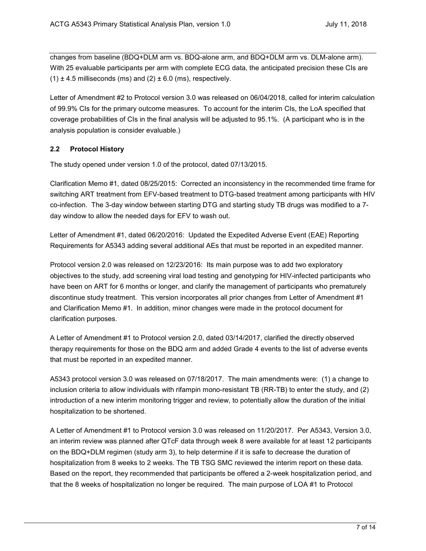changes from baseline (BDQ+DLM arm vs. BDQ-alone arm, and BDQ+DLM arm vs. DLM-alone arm). With 25 evaluable participants per arm with complete ECG data, the anticipated precision these CIs are  $(1) \pm 4.5$  milliseconds (ms) and (2)  $\pm 6.0$  (ms), respectively.

Letter of Amendment #2 to Protocol version 3.0 was released on 06/04/2018, called for interim calculation of 99.9% CIs for the primary outcome measures. To account for the interim CIs, the LoA specified that coverage probabilities of CIs in the final analysis will be adjusted to 95.1%. (A participant who is in the analysis population is consider evaluable.)

#### <span id="page-6-0"></span>**2.2 Protocol History**

The study opened under version 1.0 of the protocol, dated 07/13/2015.

Clarification Memo #1, dated 08/25/2015: Corrected an inconsistency in the recommended time frame for switching ART treatment from EFV-based treatment to DTG-based treatment among participants with HIV co-infection. The 3-day window between starting DTG and starting study TB drugs was modified to a 7 day window to allow the needed days for EFV to wash out.

Letter of Amendment #1, dated 06/20/2016: Updated the Expedited Adverse Event (EAE) Reporting Requirements for A5343 adding several additional AEs that must be reported in an expedited manner.

Protocol version 2.0 was released on 12/23/2016: Its main purpose was to add two exploratory objectives to the study, add screening viral load testing and genotyping for HIV-infected participants who have been on ART for 6 months or longer, and clarify the management of participants who prematurely discontinue study treatment. This version incorporates all prior changes from Letter of Amendment #1 and Clarification Memo #1. In addition, minor changes were made in the protocol document for clarification purposes.

A Letter of Amendment #1 to Protocol version 2.0, dated 03/14/2017, clarified the directly observed therapy requirements for those on the BDQ arm and added Grade 4 events to the list of adverse events that must be reported in an expedited manner.

A5343 protocol version 3.0 was released on 07/18/2017. The main amendments were: (1) a change to inclusion criteria to allow individuals with rifampin mono-resistant TB (RR-TB) to enter the study, and (2) introduction of a new interim monitoring trigger and review, to potentially allow the duration of the initial hospitalization to be shortened.

A Letter of Amendment #1 to Protocol version 3.0 was released on 11/20/2017. Per A5343, Version 3.0, an interim review was planned after QTcF data through week 8 were available for at least 12 participants on the BDQ+DLM regimen (study arm 3), to help determine if it is safe to decrease the duration of hospitalization from 8 weeks to 2 weeks. The TB TSG SMC reviewed the interim report on these data. Based on the report, they recommended that participants be offered a 2-week hospitalization period, and that the 8 weeks of hospitalization no longer be required. The main purpose of LOA #1 to Protocol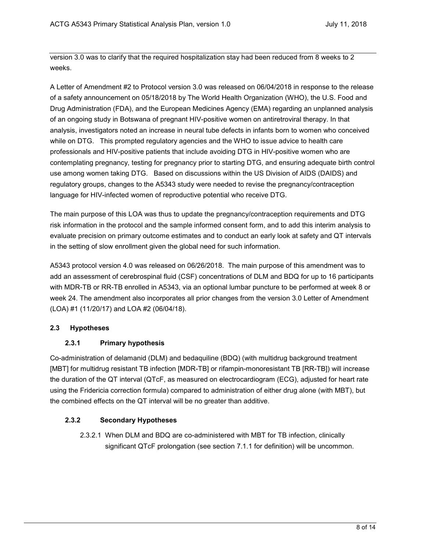version 3.0 was to clarify that the required hospitalization stay had been reduced from 8 weeks to 2 weeks.

A Letter of Amendment #2 to Protocol version 3.0 was released on 06/04/2018 in response to the release of a safety announcement on 05/18/2018 by The World Health Organization (WHO), the U.S. Food and Drug Administration (FDA), and the European Medicines Agency (EMA) regarding an unplanned analysis of an ongoing study in Botswana of pregnant HIV-positive women on antiretroviral therapy. In that analysis, investigators noted an increase in neural tube defects in infants born to women who conceived while on DTG. This prompted regulatory agencies and the WHO to issue advice to health care professionals and HIV-positive patients that include avoiding DTG in HIV-positive women who are contemplating pregnancy, testing for pregnancy prior to starting DTG, and ensuring adequate birth control use among women taking DTG. Based on discussions within the US Division of AIDS (DAIDS) and regulatory groups, changes to the A5343 study were needed to revise the pregnancy/contraception language for HIV-infected women of reproductive potential who receive DTG.

The main purpose of this LOA was thus to update the pregnancy/contraception requirements and DTG risk information in the protocol and the sample informed consent form, and to add this interim analysis to evaluate precision on primary outcome estimates and to conduct an early look at safety and QT intervals in the setting of slow enrollment given the global need for such information.

A5343 protocol version 4.0 was released on 06/26/2018. The main purpose of this amendment was to add an assessment of cerebrospinal fluid (CSF) concentrations of DLM and BDQ for up to 16 participants with MDR-TB or RR-TB enrolled in A5343, via an optional lumbar puncture to be performed at week 8 or week 24. The amendment also incorporates all prior changes from the version 3.0 Letter of Amendment (LOA) #1 (11/20/17) and LOA #2 (06/04/18).

### <span id="page-7-1"></span><span id="page-7-0"></span>**2.3 Hypotheses**

### **2.3.1 Primary hypothesis**

Co-administration of delamanid (DLM) and bedaquiline (BDQ) (with multidrug background treatment [MBT] for multidrug resistant TB infection [MDR-TB] or rifampin-monoresistant TB [RR-TB]) will increase the duration of the QT interval (QTcF, as measured on electrocardiogram (ECG), adjusted for heart rate using the Fridericia correction formula) compared to administration of either drug alone (with MBT), but the combined effects on the QT interval will be no greater than additive.

### <span id="page-7-2"></span>**2.3.2 Secondary Hypotheses**

2.3.2.1 When DLM and BDQ are co-administered with MBT for TB infection, clinically significant QTcF prolongation (see section 7.1.1 for definition) will be uncommon.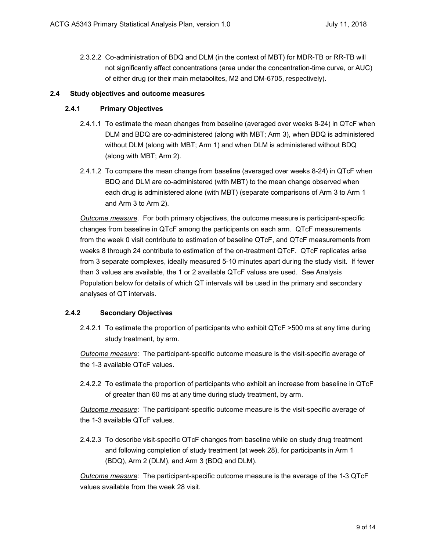2.3.2.2 Co-administration of BDQ and DLM (in the context of MBT) for MDR-TB or RR-TB will not significantly affect concentrations (area under the concentration-time curve, or AUC) of either drug (or their main metabolites, M2 and DM-6705, respectively).

## <span id="page-8-1"></span><span id="page-8-0"></span>**2.4 Study objectives and outcome measures**

## <span id="page-8-3"></span>**2.4.1 Primary Objectives**

- 2.4.1.1 To estimate the mean changes from baseline (averaged over weeks 8-24) in QTcF when DLM and BDQ are co-administered (along with MBT; Arm 3), when BDQ is administered without DLM (along with MBT; Arm 1) and when DLM is administered without BDQ (along with MBT; Arm 2).
- <span id="page-8-4"></span>2.4.1.2 To compare the mean change from baseline (averaged over weeks 8-24) in QTcF when BDQ and DLM are co-administered (with MBT) to the mean change observed when each drug is administered alone (with MBT) (separate comparisons of Arm 3 to Arm 1 and Arm 3 to Arm 2).

*Outcome measure*. For both primary objectives, the outcome measure is participant-specific changes from baseline in QTcF among the participants on each arm. QTcF measurements from the week 0 visit contribute to estimation of baseline QTcF, and QTcF measurements from weeks 8 through 24 contribute to estimation of the on-treatment QTcF. QTcF replicates arise from 3 separate complexes, ideally measured 5-10 minutes apart during the study visit. If fewer than 3 values are available, the 1 or 2 available QTcF values are used. See Analysis Population below for details of which QT intervals will be used in the primary and secondary analyses of QT intervals.

### <span id="page-8-5"></span><span id="page-8-2"></span>**2.4.2 Secondary Objectives**

2.4.2.1 To estimate the proportion of participants who exhibit QTcF >500 ms at any time during study treatment, by arm.

*Outcome measure*: The participant-specific outcome measure is the visit-specific average of the 1-3 available QTcF values.

<span id="page-8-6"></span>2.4.2.2 To estimate the proportion of participants who exhibit an increase from baseline in QTcF of greater than 60 ms at any time during study treatment, by arm.

*Outcome measure*: The participant-specific outcome measure is the visit-specific average of the 1-3 available QTcF values.

<span id="page-8-7"></span>2.4.2.3 To describe visit-specific QTcF changes from baseline while on study drug treatment and following completion of study treatment (at week 28), for participants in Arm 1 (BDQ), Arm 2 (DLM), and Arm 3 (BDQ and DLM).

*Outcome measure*: The participant-specific outcome measure is the average of the 1-3 QTcF values available from the week 28 visit.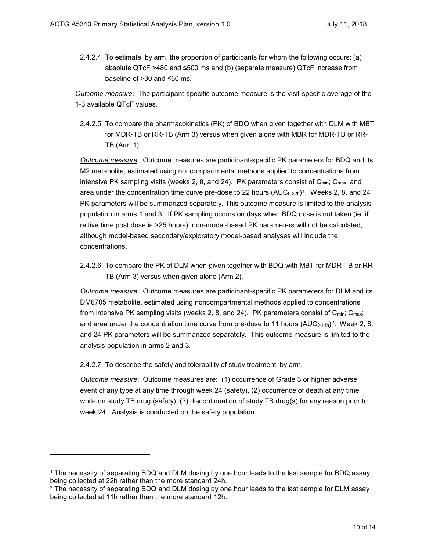<span id="page-9-2"></span>2.4.2.4 To estimate, by arm, the proportion of participants for whom the following occurs: (a) absolute QTcF >480 and ≤500 ms and (b) (separate measure) QTcF increase from baseline of >30 and ≤60 ms.

*Outcome measure*: The participant-specific outcome measure is the visit-specific average of the 1-3 available QTcF values.

<span id="page-9-4"></span>2.4.2.5 To compare the pharmacokinetics (PK) of BDQ when given together with DLM with MBT for MDR-TB or RR-TB (Arm 3) versus when given alone with MBR for MDR-TB or RR-TB (Arm 1).

*Outcome measure*: Outcome measures are participant-specific PK parameters for BDQ and its M2 metabolite, estimated using noncompartmental methods applied to concentrations from intensive PK sampling visits (weeks 2, 8, and 24). PK parameters consist of C<sub>min</sub>; C<sub>max</sub>; and area under the concentration time curve pre-dose to 22 hours (AUC<sub>0-22h</sub>)<sup>[1](#page-9-0)</sup>. Weeks 2, 8, and 24 PK parameters will be summarized separately. This outcome measure is limited to the analysis population in arms 1 and 3. If PK sampling occurs on days when BDQ dose is not taken (ie, if reltive time post dose is >25 hours), non-model-based PK parameters will not be calculated, although model-based secondary/exploratory model-based analyses will include the concentrations.

<span id="page-9-5"></span>2.4.2.6 To compare the PK of DLM when given together with BDQ with MBT for MDR-TB or RR-TB (Arm 3) versus when given alone (Arm 2).

*Outcome measure*: Outcome measures are participant-specific PK parameters for DLM and its DM6705 metabolite, estimated using noncompartmental methods applied to concentrations from intensive PK sampling visits (weeks 2, 8, and 24). PK parameters consist of C<sub>min</sub>; C<sub>max</sub>; and area under the concentration time curve from pre-dose to 11 hours  $(AUC_{0-11h})^2$  $(AUC_{0-11h})^2$ . Week 2, 8, and 24 PK parameters will be summarized separately. This outcome measure is limited to the analysis population in arms 2 and 3.

<span id="page-9-3"></span>2.4.2.7 To describe the safety and tolerability of study treatment, by arm.

j

*Outcome measure*: Outcome measures are: (1) occurrence of Grade 3 or higher adverse event of any type at any time through week 24 (safety), (2) occurrence of death at any time while on study TB drug (safety), (3) discontinuation of study TB drug(s) for any reason prior to week 24. Analysis is conducted on the safety population.

<span id="page-9-0"></span><sup>1</sup> The necessity of separating BDQ and DLM dosing by one hour leads to the last sample for BDQ assay being collected at 22h rather than the more standard 24h.

<span id="page-9-1"></span><sup>&</sup>lt;sup>2</sup> The necessity of separating BDQ and DLM dosing by one hour leads to the last sample for DLM assay being collected at 11h rather than the more standard 12h.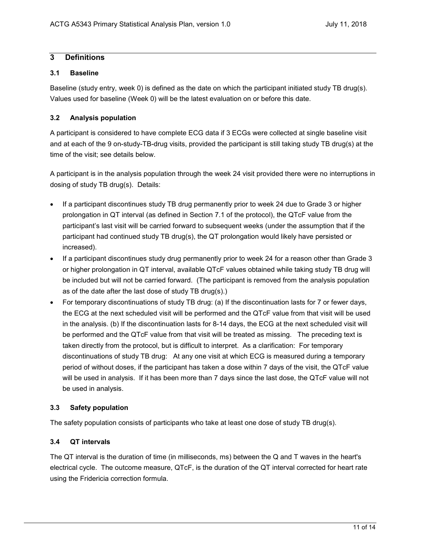# <span id="page-10-0"></span>**3 Definitions**

#### <span id="page-10-1"></span>**3.1 Baseline**

Baseline (study entry, week 0) is defined as the date on which the participant initiated study TB drug(s). Values used for baseline (Week 0) will be the latest evaluation on or before this date.

### <span id="page-10-2"></span>**3.2 Analysis population**

A participant is considered to have complete ECG data if 3 ECGs were collected at single baseline visit and at each of the 9 on-study-TB-drug visits, provided the participant is still taking study TB drug(s) at the time of the visit; see details below.

A participant is in the analysis population through the week 24 visit provided there were no interruptions in dosing of study TB drug(s). Details:

- If a participant discontinues study TB drug permanently prior to week 24 due to Grade 3 or higher prolongation in QT interval (as defined in Section 7.1 of the protocol), the QTcF value from the participant's last visit will be carried forward to subsequent weeks (under the assumption that if the participant had continued study TB drug(s), the QT prolongation would likely have persisted or increased).
- If a participant discontinues study drug permanently prior to week 24 for a reason other than Grade 3 or higher prolongation in QT interval, available QTcF values obtained while taking study TB drug will be included but will not be carried forward. (The participant is removed from the analysis population as of the date after the last dose of study TB drug(s).)
- For temporary discontinuations of study TB drug: (a) If the discontinuation lasts for 7 or fewer days, the ECG at the next scheduled visit will be performed and the QTcF value from that visit will be used in the analysis. (b) If the discontinuation lasts for 8-14 days, the ECG at the next scheduled visit will be performed and the QTcF value from that visit will be treated as missing. The preceding text is taken directly from the protocol, but is difficult to interpret. As a clarification: For temporary discontinuations of study TB drug: At any one visit at which ECG is measured during a temporary period of without doses, if the participant has taken a dose within 7 days of the visit, the QTcF value will be used in analysis. If it has been more than 7 days since the last dose, the QTcF value will not be used in analysis.

### <span id="page-10-3"></span>**3.3 Safety population**

The safety population consists of participants who take at least one dose of study TB drug(s).

### <span id="page-10-4"></span>**3.4 QT intervals**

The QT interval is the duration of time (in milliseconds, ms) between the Q and T waves in the heart's electrical cycle. The outcome measure, QTcF, is the duration of the QT interval corrected for heart rate using the Fridericia correction formula.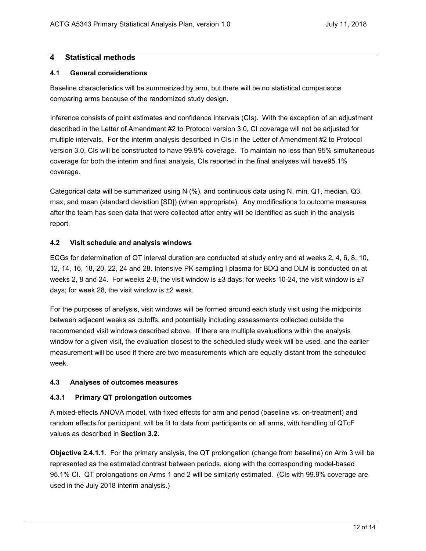## <span id="page-11-0"></span>**4 Statistical methods**

## <span id="page-11-1"></span>**4.1 General considerations**

Baseline characteristics will be summarized by arm, but there will be no statistical comparisons comparing arms because of the randomized study design.

Inference consists of point estimates and confidence intervals (CIs). With the exception of an adjustment described in the Letter of Amendment #2 to Protocol version 3.0, CI coverage will not be adjusted for multiple intervals. For the interim analysis described in CIs in the Letter of Amendment #2 to Protocol version 3.0, CIs will be constructed to have 99.9% coverage. To maintain no less than 95% simultaneous coverage for both the interim and final analysis, CIs reported in the final analyses will have95.1% coverage.

Categorical data will be summarized using N (%), and continuous data using N, min, Q1, median, Q3, max, and mean (standard deviation [SD]) (when appropriate). Any modifications to outcome measures after the team has seen data that were collected after entry will be identified as such in the analysis report.

### <span id="page-11-2"></span>**4.2 Visit schedule and analysis windows**

ECGs for determination of QT interval duration are conducted at study entry and at weeks 2, 4, 6, 8, 10, 12, 14, 16, 18, 20, 22, 24 and 28. Intensive PK sampling I plasma for BDQ and DLM is conducted on at weeks 2, 8 and 24. For weeks 2-8, the visit window is ±3 days; for weeks 10-24, the visit window is ±7 days; for week 28, the visit window is ±2 week.

For the purposes of analysis, visit windows will be formed around each study visit using the midpoints between adjacent weeks as cutoffs, and potentially including assessments collected outside the recommended visit windows described above. If there are multiple evaluations within the analysis window for a given visit, the evaluation closest to the scheduled study week will be used, and the earlier measurement will be used if there are two measurements which are equally distant from the scheduled week.

### <span id="page-11-3"></span>**4.3 Analyses of outcomes measures**

### <span id="page-11-4"></span>**4.3.1 Primary QT prolongation outcomes**

A mixed-effects ANOVA model, with fixed effects for arm and period (baseline vs. on-treatment) and random effects for participant, will be fit to data from participants on all arms, with handling of QTcF values as described in **Section [3.2](#page-10-2)**.

**Objective [2.4.1.1](#page-8-3)**. For the primary analysis, the QT prolongation (change from baseline) on Arm 3 will be represented as the estimated contrast between periods, along with the corresponding model-based 95.1% CI. QT prolongations on Arms 1 and 2 will be similarly estimated. (CIs with 99.9% coverage are used in the July 2018 interim analysis.)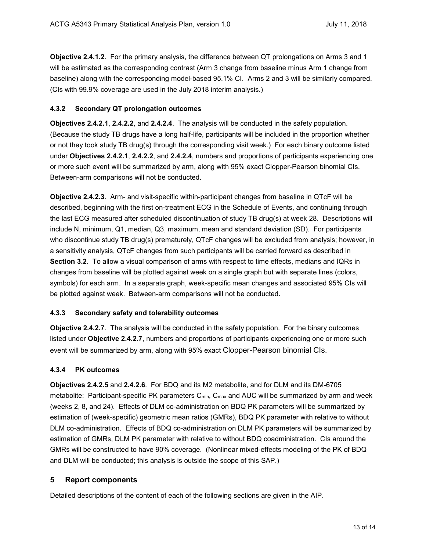**Objective [2.4.1.2](#page-8-4)**. For the primary analysis, the difference between QT prolongations on Arms 3 and 1 will be estimated as the corresponding contrast (Arm 3 change from baseline minus Arm 1 change from baseline) along with the corresponding model-based 95.1% CI. Arms 2 and 3 will be similarly compared. (CIs with 99.9% coverage are used in the July 2018 interim analysis.)

#### <span id="page-12-0"></span>**4.3.2 Secondary QT prolongation outcomes**

**Objectives [2.4.2.1](#page-8-5)**, **[2.4.2.2](#page-8-6)**, and **[2.4.2.4](#page-9-2)**. The analysis will be conducted in the safety population. (Because the study TB drugs have a long half-life, participants will be included in the proportion whether or not they took study TB drug(s) through the corresponding visit week.) For each binary outcome listed under **Objectives [2.4.2.1](#page-8-5)**, **[2.4.2.2](#page-8-6)**, and **[2.4.2.4](#page-9-2)**, numbers and proportions of participants experiencing one or more such event will be summarized by arm, along with 95% exact Clopper-Pearson binomial CIs. Between-arm comparisons will not be conducted.

**Objective [2.4.2.3](#page-8-7)**. Arm- and visit-specific within-participant changes from baseline in QTcF will be described, beginning with the first on-treatment ECG in the Schedule of Events, and continuing through the last ECG measured after scheduled discontinuation of study TB drug(s) at week 28. Descriptions will include N, minimum, Q1, median, Q3, maximum, mean and standard deviation (SD). For participants who discontinue study TB drug(s) prematurely, QTcF changes will be excluded from analysis; however, in a sensitivity analysis, QTcF changes from such participants will be carried forward as described in **Section [3.2](#page-10-2)**. To allow a visual comparison of arms with respect to time effects, medians and IQRs in changes from baseline will be plotted against week on a single graph but with separate lines (colors, symbols) for each arm. In a separate graph, week-specific mean changes and associated 95% CIs will be plotted against week. Between-arm comparisons will not be conducted.

#### <span id="page-12-1"></span>**4.3.3 Secondary safety and tolerability outcomes**

**Objective [2.4.2.7](#page-9-3)**. The analysis will be conducted in the safety population. For the binary outcomes listed under **Objective [2.4.2.7](#page-9-3)**, numbers and proportions of participants experiencing one or more such event will be summarized by arm, along with 95% exact Clopper-Pearson binomial CIs.

### <span id="page-12-2"></span>**4.3.4 PK outcomes**

**Objectives [2.4.2.5](#page-9-4)** and **[2.4.2.6](#page-9-5)**. For BDQ and its M2 metabolite, and for DLM and its DM-6705 metabolite: Participant-specific PK parameters C<sub>min</sub>, C<sub>max</sub> and AUC will be summarized by arm and week (weeks 2, 8, and 24). Effects of DLM co-administration on BDQ PK parameters will be summarized by estimation of (week-specific) geometric mean ratios (GMRs), BDQ PK parameter with relative to without DLM co-administration. Effects of BDQ co-administration on DLM PK parameters will be summarized by estimation of GMRs, DLM PK parameter with relative to without BDQ coadministration. CIs around the GMRs will be constructed to have 90% coverage. (Nonlinear mixed-effects modeling of the PK of BDQ and DLM will be conducted; this analysis is outside the scope of this SAP.)

### <span id="page-12-3"></span>**5 Report components**

Detailed descriptions of the content of each of the following sections are given in the AIP.